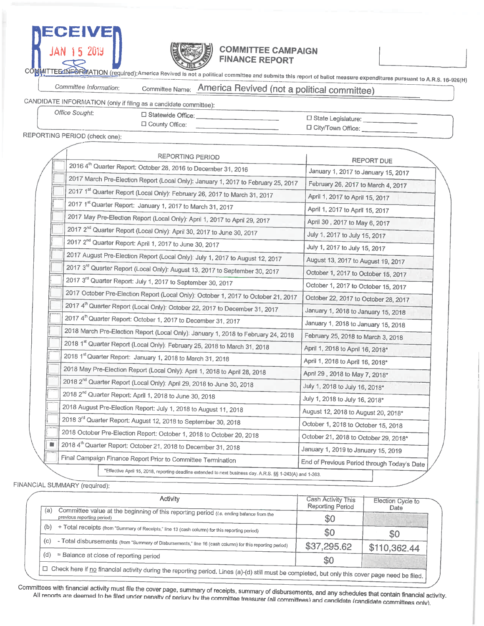



### **COMMITTEE CAMPAIGN FINANCE REPORT**

MITTEE INFORMATION (required):America Revived is not a political committee and submits this report of ballot measure expenditures pursuant to A.R.S. 16-926(H)

#### America Revived (not a political committee) Committee Information: Committee Name:

CANDIDATE INFORMATION (only if filing as a candidate committee): Office Sought:

□ Statewide Office:

D County Office:

□ State Legislature: \_\_\_\_\_\_\_\_\_\_\_\_\_\_\_\_ D City/Town Office:

REPORTING PERIOD (check one):

|    | <b>REPORTING PERIOD</b>                                                                                    | <b>REPORT DUE</b>                                                |  |  |  |  |
|----|------------------------------------------------------------------------------------------------------------|------------------------------------------------------------------|--|--|--|--|
|    | 2016 4 <sup>th</sup> Quarter Report: October 28, 2016 to December 31, 2016                                 | January 1, 2017 to January 15, 2017                              |  |  |  |  |
|    | 2017 March Pre-Election Report (Local Only): January 1, 2017 to February 25, 2017                          | February 26, 2017 to March 4, 2017                               |  |  |  |  |
|    | 2017 1st Quarter Report (Local Only): February 26, 2017 to March 31, 2017                                  | April 1, 2017 to April 15, 2017                                  |  |  |  |  |
|    | 2017 1st Quarter Report: January 1, 2017 to March 31, 2017                                                 | April 1, 2017 to April 15, 2017                                  |  |  |  |  |
|    | 2017 May Pre-Election Report (Local Only): April 1, 2017 to April 29, 2017                                 | April 30, 2017 to May 6, 2017                                    |  |  |  |  |
|    | 2017 2 <sup>nd</sup> Quarter Report (Local Only): April 30, 2017 to June 30, 2017                          | July 1, 2017 to July 15, 2017                                    |  |  |  |  |
|    | 2017 2 <sup>nd</sup> Quarter Report: April 1, 2017 to June 30, 2017                                        | July 1, 2017 to July 15, 2017                                    |  |  |  |  |
|    | 2017 August Pre-Election Report (Local Only): July 1, 2017 to August 12, 2017                              | August 13, 2017 to August 19, 2017                               |  |  |  |  |
|    | 2017 3 <sup>rd</sup> Quarter Report (Local Only): August 13, 2017 to September 30, 2017                    | October 1, 2017 to October 15, 2017                              |  |  |  |  |
|    | 2017 3rd Quarter Report: July 1, 2017 to September 30, 2017                                                | October 1, 2017 to October 15, 2017                              |  |  |  |  |
|    | 2017 October Pre-Election Report (Local Only): October 1, 2017 to October 21, 2017                         | October 22, 2017 to October 28, 2017                             |  |  |  |  |
|    | 2017 4th Quarter Report (Local Only): October 22, 2017 to December 31, 2017                                | January 1, 2018 to January 15, 2018                              |  |  |  |  |
|    | 2017 4 <sup>th</sup> Quarter Report: October 1, 2017 to December 31, 2017                                  | January 1, 2018 to January 15, 2018                              |  |  |  |  |
|    | 2018 March Pre-Election Report (Local Only): January 1, 2018 to February 24, 2018                          | February 25, 2018 to March 3, 2018                               |  |  |  |  |
|    | 2018 1st Quarter Report (Local Only): February 25, 2018 to March 31, 2018                                  | April 1, 2018 to April 16, 2018*                                 |  |  |  |  |
|    | 2018 1st Quarter Report: January 1, 2018 to March 31, 2018                                                 | April 1, 2018 to April 16, 2018*                                 |  |  |  |  |
|    | 2018 May Pre-Election Report (Local Only): April 1, 2018 to April 28, 2018                                 | April 29, 2018 to May 7, 2018*                                   |  |  |  |  |
|    | 2018 2 <sup>nd</sup> Quarter Report (Local Only): April 29, 2018 to June 30, 2018                          | July 1, 2018 to July 16, 2018*<br>July 1, 2018 to July 16, 2018* |  |  |  |  |
|    | 2018 2 <sup>nd</sup> Quarter Report: April 1, 2018 to June 30, 2018                                        |                                                                  |  |  |  |  |
|    | 2018 August Pre-Election Report: July 1, 2018 to August 11, 2018                                           | August 12, 2018 to August 20, 2018*                              |  |  |  |  |
|    | 2018 3rd Quarter Report: August 12, 2018 to September 30, 2018                                             | October 1, 2018 to October 15, 2018                              |  |  |  |  |
|    | 2018 October Pre-Election Report: October 1, 2018 to October 20, 2018                                      | October 21, 2018 to October 29, 2018*                            |  |  |  |  |
| Ō. | 2018 4th Quarter Report: October 21, 2018 to December 31, 2018                                             | January 1, 2019 to January 15, 2019                              |  |  |  |  |
|    | Final Campaign Finance Report Prior to Committee Termination                                               |                                                                  |  |  |  |  |
|    | "Effective April 15, 2018, reporting deadline extended to next business day. A.R.S. §§ 1-243(A) and 1-303. | End of Previous Period through Today's Date                      |  |  |  |  |

FINANCIAL SUMMARY (required):

| <b>Reporting Period</b> | Date                                                                                                                                                   |
|-------------------------|--------------------------------------------------------------------------------------------------------------------------------------------------------|
| \$0                     |                                                                                                                                                        |
| \$0                     | \$0                                                                                                                                                    |
| \$37,295.62             | \$110,362.44                                                                                                                                           |
| \$0                     |                                                                                                                                                        |
|                         | $\Box$ Check here if no financial activity during the reporting period. Lines (a)-(d) still must be completed, but only this cover page need be filed. |

Committees with financial activity must file the cover page, summary of receipts, summary of disbursements, and any schedules that contain financial activity. All reports are deemed to be filed under penalty of periury by the committee treasurer (all committees) and candidate (candidate committees only).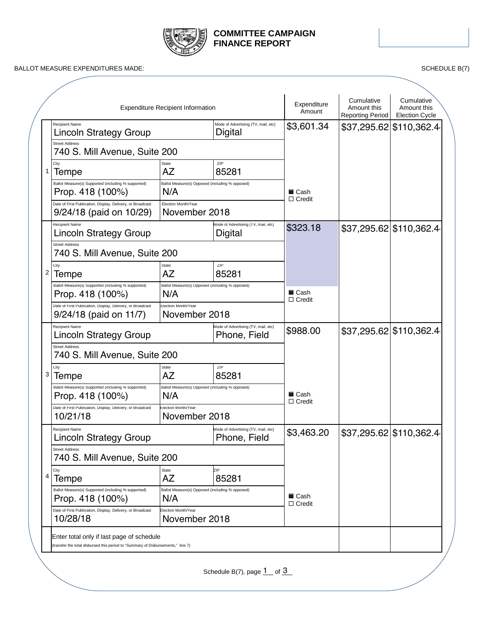

## **COMMITTEE CAMPAIGN FINANCE REPORT**

BALLOT MEASURE EXPENDITURES MADE: SCHEDULE B(7)

|   |                                                                                        | <b>Expenditure Recipient Information</b>               |                                                       | Expenditure<br>Amount                | Cumulative<br>Amount this<br>Reporting Period | Cumulative<br>Amount this<br><b>Election Cycle</b> |
|---|----------------------------------------------------------------------------------------|--------------------------------------------------------|-------------------------------------------------------|--------------------------------------|-----------------------------------------------|----------------------------------------------------|
|   | Recipient Name<br><b>Lincoln Strategy Group</b>                                        |                                                        | Mode of Advertising (TV, mail, etc)<br><b>Digital</b> | \$3,601.34                           |                                               | \$37,295.62 \$110,362.4                            |
|   | <b>Street Address</b><br>740 S. Mill Avenue, Suite 200                                 |                                                        |                                                       |                                      |                                               |                                                    |
| 1 | City<br>Tempe                                                                          | <b>State</b><br>AZ                                     | ZIP<br>85281                                          |                                      |                                               |                                                    |
|   | Ballot Measure(s) Supported (including % supported)<br>Prop. 418 (100%)                | Ballot Measure(s) Opposed (including % opposed)<br>N/A |                                                       | ■ Cash<br>$\Box$ Credit              |                                               |                                                    |
|   | Date of First Publication, Display, Delivery, or Broadcast<br>9/24/18 (paid on 10/29)  | Election Month/Year<br>November 2018                   |                                                       |                                      |                                               |                                                    |
|   | <b>Recipient Name</b><br><b>Lincoln Strategy Group</b>                                 |                                                        | Mode of Advertising (TV, mail, etc)<br>Digital        | \$323.18                             |                                               | \$37,295.62 \$110,362.4                            |
|   | <b>Street Address</b><br>740 S. Mill Avenue, Suite 200                                 |                                                        |                                                       |                                      |                                               |                                                    |
| 2 | City<br>Tempe                                                                          | State<br>AZ                                            | ZIP<br>85281                                          |                                      |                                               |                                                    |
|   | Ballot Measure(s) Supported (including % supported)<br>Prop. 418 (100%)                | Ballot Measure(s) Opposed (including % opposed)<br>N/A |                                                       | <b>■</b> Cash<br>$\Box$ Credit       |                                               |                                                    |
|   | Date of First Publication, Display, Delivery, or Broadcast<br>$9/24/18$ (paid on 11/7) | Election Month/Year<br>November 2018                   |                                                       |                                      |                                               |                                                    |
|   | <b>Recipient Name</b><br><b>Lincoln Strategy Group</b>                                 | Mode of Advertising (TV, mail, etc)<br>Phone, Field    |                                                       | \$988.00                             |                                               | \$37,295.62 \$110,362.4                            |
|   | <b>Street Address</b><br>740 S. Mill Avenue, Suite 200                                 |                                                        |                                                       |                                      |                                               |                                                    |
| 3 | City<br>Tempe                                                                          | State<br>AZ                                            | ZIP<br>85281                                          |                                      |                                               |                                                    |
|   | Ballot Measure(s) Supported (including % supported)<br>Prop. 418 (100%)                | Ballot Measure(s) Opposed (including % opposed)<br>N/A |                                                       | $\blacksquare$ Cash<br>$\Box$ Credit |                                               |                                                    |
|   | Date of First Publication, Display, Delivery, or Broadcast<br>10/21/18                 | Election Month/Year<br>November 2018                   |                                                       |                                      |                                               |                                                    |
|   | Recipient Name<br><b>Lincoln Strategy Group</b>                                        |                                                        | Mode of Advertising (TV, mail, etc)<br>Phone, Field   | \$3,463.20                           |                                               | \$37,295.62 \$110,362.4                            |
|   | <b>Street Address</b><br>740 S. Mill Avenue, Suite 200                                 |                                                        |                                                       |                                      |                                               |                                                    |
| 4 | City<br>Tempe                                                                          | State<br><b>AZ</b>                                     | ZIP<br>85281                                          |                                      |                                               |                                                    |
|   | Ballot Measure(s) Supported (including % supported)<br>Prop. 418 (100%)                | Ballot Measure(s) Opposed (including % opposed)<br>N/A |                                                       | <b>■ Cash</b><br>$\Box$ Credit       |                                               |                                                    |
|   | Date of First Publication, Display, Delivery, or Broadcast<br>10/28/18                 | Election Month/Year<br>November 2018                   |                                                       |                                      |                                               |                                                    |
|   | Enter total only if last page of schedule                                              |                                                        |                                                       |                                      |                                               |                                                    |
|   | (transfer the total disbursed this period to "Summary of Disbursements," line 7)       |                                                        |                                                       |                                      |                                               |                                                    |

Schedule B(7), page  $1$  of  $3$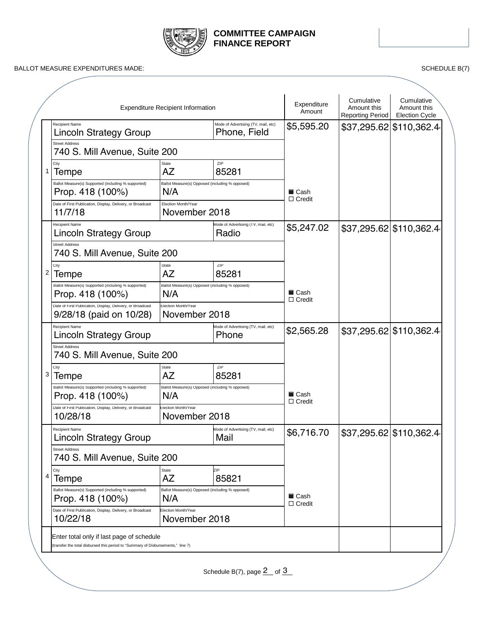

# **COMMITTEE CAMPAIGN FINANCE REPORT**

BALLOT MEASURE EXPENDITURES MADE: SCHEDULE B(7)

|                                                                                       | <b>Expenditure Recipient Information</b>               |                                                     | Expenditure<br>Amount                           | Cumulative<br>Amount this<br>Reporting Period                    | Cumulative<br>Amount this<br><b>Election Cycle</b>                                                       |
|---------------------------------------------------------------------------------------|--------------------------------------------------------|-----------------------------------------------------|-------------------------------------------------|------------------------------------------------------------------|----------------------------------------------------------------------------------------------------------|
| <b>Recipient Name</b><br>Lincoln Strategy Group                                       |                                                        | Mode of Advertising (TV, mail, etc)<br>Phone, Field | \$5,595.20                                      |                                                                  |                                                                                                          |
| <b>Street Address</b><br>740 S. Mill Avenue, Suite 200                                |                                                        |                                                     |                                                 |                                                                  |                                                                                                          |
| City<br>Tempe                                                                         | State<br>AZ                                            | ZIP<br>85281                                        |                                                 |                                                                  |                                                                                                          |
| Ballot Measure(s) Supported (including % supported)<br>Prop. 418 (100%)               | Ballot Measure(s) Opposed (including % opposed)<br>N/A |                                                     | ■ Cash                                          |                                                                  |                                                                                                          |
| Date of First Publication, Display, Delivery, or Broadcast<br>11/7/18                 | Election Month/Year<br>November 2018                   |                                                     |                                                 |                                                                  |                                                                                                          |
| <b>Recipient Name</b><br><b>Lincoln Strategy Group</b>                                |                                                        | Mode of Advertising (TV, mail, etc)<br>Radio        | \$5,247.02                                      |                                                                  |                                                                                                          |
| <b>Street Address</b>                                                                 |                                                        |                                                     |                                                 |                                                                  |                                                                                                          |
| City<br>Tempe                                                                         | State<br><b>AZ</b>                                     | ZIP<br>85281                                        |                                                 |                                                                  |                                                                                                          |
| Ballot Measure(s) Supported (including % supported)<br>Prop. 418 (100%)               | Ballot Measure(s) Opposed (including % opposed)<br>N/A |                                                     | ■ Cash                                          |                                                                  |                                                                                                          |
| Date of First Publication, Display, Delivery, or Broadcast<br>9/28/18 (paid on 10/28) | Election Month/Year<br>November 2018                   |                                                     |                                                 |                                                                  |                                                                                                          |
| <b>Recipient Name</b><br><b>Lincoln Strategy Group</b>                                | Mode of Advertising (TV, mail, etc)<br>Phone           |                                                     | \$2,565.28                                      |                                                                  |                                                                                                          |
| <b>Street Address</b><br>740 S. Mill Avenue, Suite 200                                |                                                        |                                                     |                                                 |                                                                  |                                                                                                          |
| City<br>Tempe                                                                         | State<br>AZ                                            | ZIP<br>85281                                        |                                                 |                                                                  |                                                                                                          |
| Ballot Measure(s) Supported (including % supported)<br>Prop. 418 (100%)               | N/A                                                    |                                                     | $\square$ Cash                                  |                                                                  |                                                                                                          |
| Date of First Publication, Display, Delivery, or Broadcast<br>10/28/18                | Election Month/Year<br>November 2018                   |                                                     |                                                 |                                                                  |                                                                                                          |
| Recipient Name                                                                        |                                                        | Mode of Advertising (TV, mail, etc)<br>Mail         | \$6,716.70                                      |                                                                  |                                                                                                          |
| <b>Street Address</b><br>740 S. Mill Avenue, Suite 200                                |                                                        |                                                     |                                                 |                                                                  |                                                                                                          |
| City                                                                                  | State<br>AZ                                            | ZIP<br>85821                                        |                                                 |                                                                  |                                                                                                          |
| Ballot Measure(s) Supported (including % supported)<br>Prop. 418 (100%)               | Ballot Measure(s) Opposed (including % opposed)<br>N/A |                                                     | <b>■</b> Cash                                   |                                                                  |                                                                                                          |
| Date of First Publication, Display, Delivery, or Broadcast<br>10/22/18                | Election Month/Year<br>November 2018                   |                                                     |                                                 |                                                                  |                                                                                                          |
|                                                                                       |                                                        |                                                     |                                                 |                                                                  |                                                                                                          |
|                                                                                       | <b>Lincoln Strategy Group</b><br>Tempe                 | 740 S. Mill Avenue, Suite 200                       | Ballot Measure(s) Opposed (including % opposed) | $\Box$ Credit<br>$\Box$ Credit<br>$\Box$ Credit<br>$\Box$ Credit | \$37,295.62 \$110,362.4<br>\$37,295.62 \$110,362.4<br>\$37,295.62 \$110,362.4<br>\$37.295.62 \$110.362.4 |

Schedule B(7), page  $\frac{2}{3}$  of  $\frac{3}{3}$